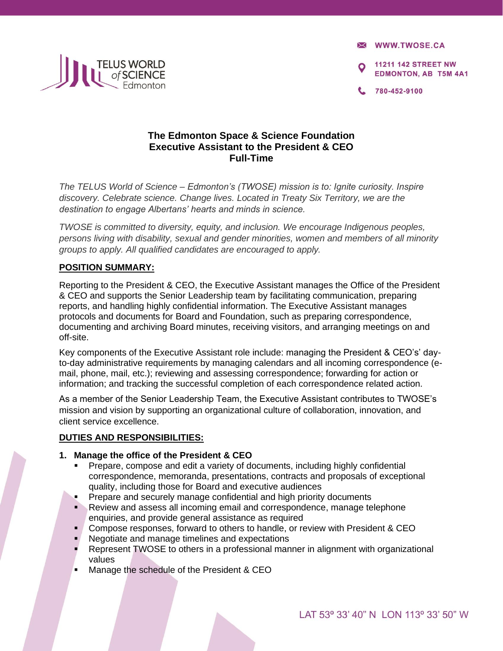**X WWW.TWOSE.CA** 

**11211 142 STREET NW EDMONTON, AB T5M 4A1** 

780-452-9100



# **The Edmonton Space & Science Foundation Executive Assistant to the President & CEO Full-Time**

*The TELUS World of Science – Edmonton's (TWOSE) mission is to: Ignite curiosity. Inspire discovery. Celebrate science. Change lives. Located in Treaty Six Territory, we are the destination to engage Albertans' hearts and minds in science.* 

*TWOSE is committed to diversity, equity, and inclusion. We encourage Indigenous peoples, persons living with disability, sexual and gender minorities, women and members of all minority groups to apply. All qualified candidates are encouraged to apply.* 

## **POSITION SUMMARY:**

Reporting to the President & CEO, the Executive Assistant manages the Office of the President & CEO and supports the Senior Leadership team by facilitating communication, preparing reports, and handling highly confidential information. The Executive Assistant manages protocols and documents for Board and Foundation, such as preparing correspondence, documenting and archiving Board minutes, receiving visitors, and arranging meetings on and off-site.

Key components of the Executive Assistant role include: managing the President & CEO's' dayto-day administrative requirements by managing calendars and all incoming correspondence (email, phone, mail, etc.); reviewing and assessing correspondence; forwarding for action or information; and tracking the successful completion of each correspondence related action.

As a member of the Senior Leadership Team, the Executive Assistant contributes to TWOSE's mission and vision by supporting an organizational culture of collaboration, innovation, and client service excellence.

### **DUTIES AND RESPONSIBILITIES:**

### **1. Manage the office of the President & CEO**

- Prepare, compose and edit a variety of documents, including highly confidential correspondence, memoranda, presentations, contracts and proposals of exceptional quality, including those for Board and executive audiences
- Prepare and securely manage confidential and high priority documents
- **Review and assess all incoming email and correspondence, manage telephone** enquiries, and provide general assistance as required
- Compose responses, forward to others to handle, or review with President & CEO
- Negotiate and manage timelines and expectations
- Represent TWOSE to others in a professional manner in alignment with organizational values
- Manage the schedule of the President & CEO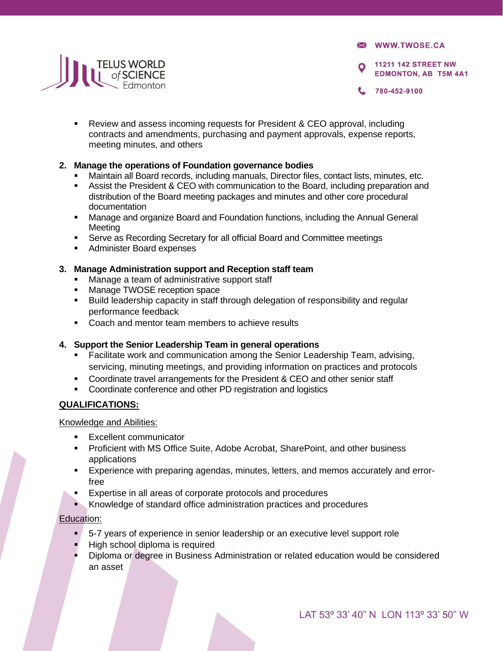**X WWW.TWOSE.CA** 

780-452-9100

**11211 142 STREET NW EDMONTON, AB T5M 4A1** 



■ Review and assess incoming requests for President & CEO approval, including contracts and amendments, purchasing and payment approvals, expense reports, meeting minutes, and others

### **2. Manage the operations of Foundation governance bodies**

- Maintain all Board records, including manuals, Director files, contact lists, minutes, etc.
- Assist the President & CEO with communication to the Board, including preparation and distribution of the Board meeting packages and minutes and other core procedural documentation
- **■** Manage and organize Board and Foundation functions, including the Annual General Meeting
- **•** Serve as Recording Secretary for all official Board and Committee meetings
- Administer Board expenses

#### **3. Manage Administration support and Reception staff team**

- Manage a team of administrative support staff
- Manage TWOSE reception space
- Build leadership capacity in staff through delegation of responsibility and regular performance feedback
- Coach and mentor team members to achieve results

### **4. Support the Senior Leadership Team in general operations**

- Facilitate work and communication among the Senior Leadership Team, advising, servicing, minuting meetings, and providing information on practices and protocols
- Coordinate travel arrangements for the President & CEO and other senior staff
- Coordinate conference and other PD registration and logistics

### **QUALIFICATIONS:**

Knowledge and Abilities:

- Excellent communicator
- Proficient with MS Office Suite, Adobe Acrobat, SharePoint, and other business applications
- **Experience with preparing agendas, minutes, letters, and memos accurately and error**free
- Expertise in all areas of corporate protocols and procedures
- Knowledge of standard office administration practices and procedures

### Education:

- 5-7 years of experience in senior leadership or an executive level support role
- High school diploma is required
- Diploma or degree in Business Administration or related education would be considered an asset